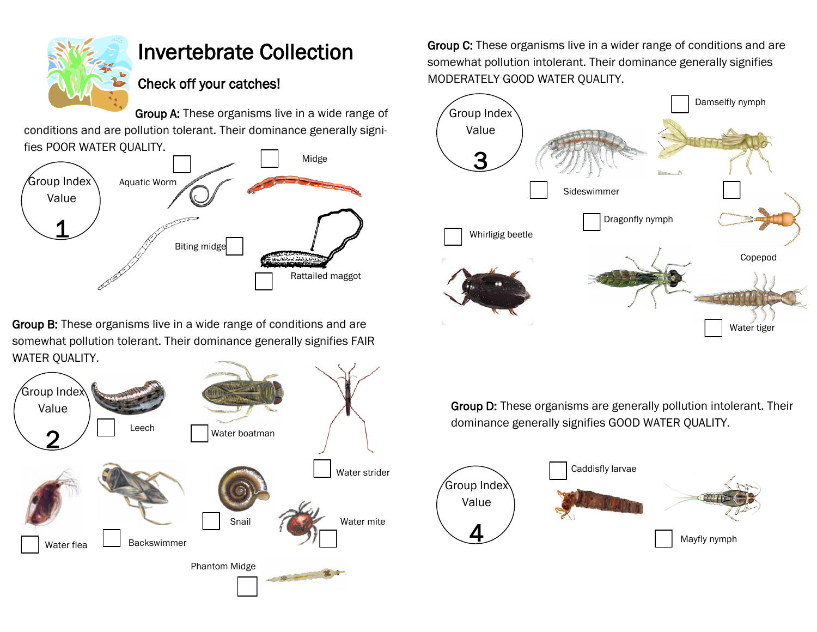

## Invertebrate Collection

## Check off your catches!

Group A: These organisms live in a wide range of conditions and are pollution tolerant. Their dominance generally signifies POOR WATER QUALITY.



Group B: These organisms live in a wide range of conditions and are somewhat pollution tolerant. Their dominance generally signifies FAIR WATER QUALITY.



Group C: These organisms live in a wider range of conditions and are somewhat pollution intolerant. Their dominance generally signifies MODERATELY GOOD WATER QUALITY.



Group D: These organisms are generally pollution intolerant. Their dominance generally signifies GOOD WATER QUALITY.